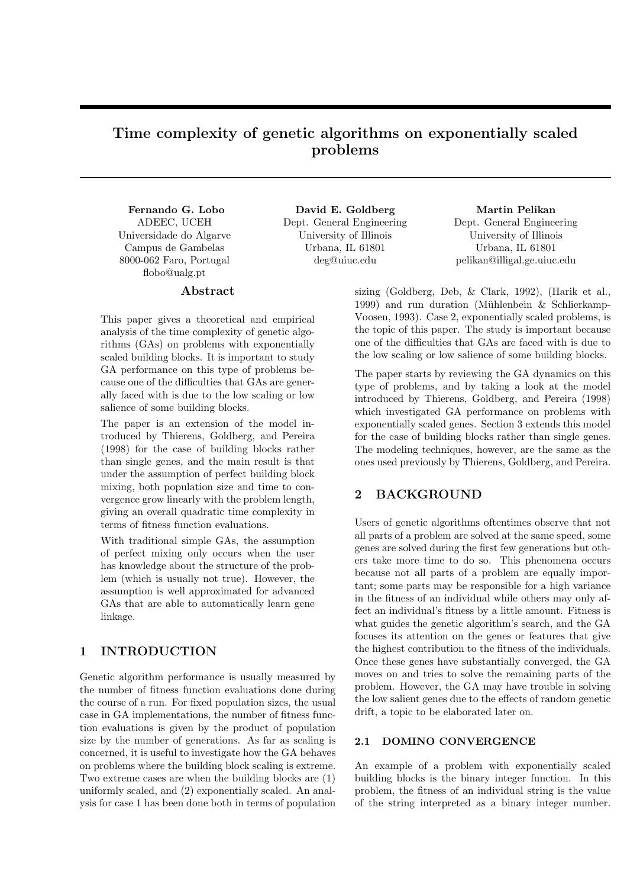# Time complexity of genetic algorithms on exponentially scaled problems

Fernando G. Lobo ADEEC, UCEH Universidade do Algarve Campus de Gambelas 8000-062 Faro, Portugal flobo@ualg.pt

# Abstract

This paper gives a theoretical and empirical analysis of the time complexity of genetic algorithms (GAs) on problems with exponentially scaled building blocks. It is important to study GA performance on this type of problems because one of the difficulties that GAs are generally faced with is due to the low scaling or low salience of some building blocks.

The paper is an extension of the model introduced by Thierens, Goldberg, and Pereira (1998) for the case of building blocks rather than single genes, and the main result is that under the assumption of perfect building block mixing, both population size and time to convergence grow linearly with the problem length, giving an overall quadratic time complexity in terms of fitness function evaluations.

With traditional simple GAs, the assumption of perfect mixing only occurs when the user has knowledge about the structure of the problem (which is usually not true). However, the assumption is well approximated for advanced GAs that are able to automatically learn gene linkage.

## 1 INTRODUCTION

Genetic algorithm performance is usually measured by the number of fitness function evaluations done during the course of a run. For fixed population sizes, the usual case in GA implementations, the number of fitness function evaluations is given by the product of population size by the number of generations. As far as scaling is concerned, it is useful to investigate how the GA behaves on problems where the building block scaling is extreme. Two extreme cases are when the building blocks are (1) uniformly scaled, and (2) exponentially scaled. An analysis for case 1 has been done both in terms of population

David E. Goldberg Dept. General Engineering University of Illinois Urbana, IL 61801 deg@uiuc.edu

Martin Pelikan Dept. General Engineering University of Illinois Urbana, IL 61801 pelikan@illigal.ge.uiuc.edu

sizing (Goldberg, Deb, & Clark, 1992), (Harik et al., 1999) and run duration (Mühlenbein  $&$  Schlierkamp-Voosen, 1993). Case 2, exponentially scaled problems, is the topic of this paper. The study is important because one of the difficulties that GAs are faced with is due to the low scaling or low salience of some building blocks.

The paper starts by reviewing the GA dynamics on this type of problems, and by taking a look at the model introduced by Thierens, Goldberg, and Pereira (1998) which investigated GA performance on problems with exponentially scaled genes. Section 3 extends this model for the case of building blocks rather than single genes. The modeling techniques, however, are the same as the ones used previously by Thierens, Goldberg, and Pereira.

# 2 BACKGROUND

Users of genetic algorithms oftentimes observe that not all parts of a problem are solved at the same speed, some genes are solved during the first few generations but others take more time to do so. This phenomena occurs because not all parts of a problem are equally important; some parts may be responsible for a high variance in the fitness of an individual while others may only affect an individual's fitness by a little amount. Fitness is what guides the genetic algorithm's search, and the GA focuses its attention on the genes or features that give the highest contribution to the fitness of the individuals. Once these genes have substantially converged, the GA moves on and tries to solve the remaining parts of the problem. However, the GA may have trouble in solving the low salient genes due to the effects of random genetic drift, a topic to be elaborated later on.

#### 2.1 DOMINO CONVERGENCE

An example of a problem with exponentially scaled building blocks is the binary integer function. In this problem, the fitness of an individual string is the value of the string interpreted as a binary integer number.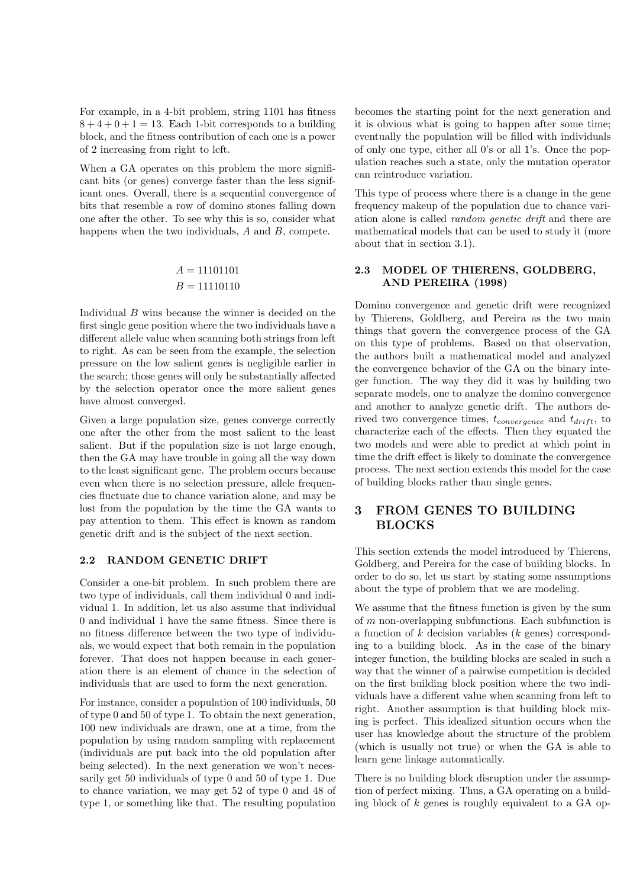For example, in a 4-bit problem, string 1101 has fitness  $8 + 4 + 0 + 1 = 13$ . Each 1-bit corresponds to a building block, and the fitness contribution of each one is a power of 2 increasing from right to left.

When a GA operates on this problem the more significant bits (or genes) converge faster than the less significant ones. Overall, there is a sequential convergence of bits that resemble a row of domino stones falling down one after the other. To see why this is so, consider what happens when the two individuals, A and B, compete.

# $A = 11101101$  $B = 11110110$

Individual B wins because the winner is decided on the first single gene position where the two individuals have a different allele value when scanning both strings from left to right. As can be seen from the example, the selection pressure on the low salient genes is negligible earlier in the search; those genes will only be substantially affected by the selection operator once the more salient genes have almost converged.

Given a large population size, genes converge correctly one after the other from the most salient to the least salient. But if the population size is not large enough, then the GA may have trouble in going all the way down to the least significant gene. The problem occurs because even when there is no selection pressure, allele frequencies fluctuate due to chance variation alone, and may be lost from the population by the time the GA wants to pay attention to them. This effect is known as random genetic drift and is the subject of the next section.

### 2.2 RANDOM GENETIC DRIFT

Consider a one-bit problem. In such problem there are two type of individuals, call them individual 0 and individual 1. In addition, let us also assume that individual 0 and individual 1 have the same fitness. Since there is no fitness difference between the two type of individuals, we would expect that both remain in the population forever. That does not happen because in each generation there is an element of chance in the selection of individuals that are used to form the next generation.

For instance, consider a population of 100 individuals, 50 of type 0 and 50 of type 1. To obtain the next generation, 100 new individuals are drawn, one at a time, from the population by using random sampling with replacement (individuals are put back into the old population after being selected). In the next generation we won't necessarily get 50 individuals of type 0 and 50 of type 1. Due to chance variation, we may get 52 of type 0 and 48 of type 1, or something like that. The resulting population

becomes the starting point for the next generation and it is obvious what is going to happen after some time; eventually the population will be filled with individuals of only one type, either all 0's or all 1's. Once the population reaches such a state, only the mutation operator can reintroduce variation.

This type of process where there is a change in the gene frequency makeup of the population due to chance variation alone is called random genetic drift and there are mathematical models that can be used to study it (more about that in section 3.1).

## 2.3 MODEL OF THIERENS, GOLDBERG, AND PEREIRA (1998)

Domino convergence and genetic drift were recognized by Thierens, Goldberg, and Pereira as the two main things that govern the convergence process of the GA on this type of problems. Based on that observation, the authors built a mathematical model and analyzed the convergence behavior of the GA on the binary integer function. The way they did it was by building two separate models, one to analyze the domino convergence and another to analyze genetic drift. The authors derived two convergence times,  $t_{convergence}$  and  $t_{drift}$ , to characterize each of the effects. Then they equated the two models and were able to predict at which point in time the drift effect is likely to dominate the convergence process. The next section extends this model for the case of building blocks rather than single genes.

# 3 FROM GENES TO BUILDING **BLOCKS**

This section extends the model introduced by Thierens, Goldberg, and Pereira for the case of building blocks. In order to do so, let us start by stating some assumptions about the type of problem that we are modeling.

We assume that the fitness function is given by the sum of m non-overlapping subfunctions. Each subfunction is a function of  $k$  decision variables  $(k$  genes) corresponding to a building block. As in the case of the binary integer function, the building blocks are scaled in such a way that the winner of a pairwise competition is decided on the first building block position where the two individuals have a different value when scanning from left to right. Another assumption is that building block mixing is perfect. This idealized situation occurs when the user has knowledge about the structure of the problem (which is usually not true) or when the GA is able to learn gene linkage automatically.

There is no building block disruption under the assumption of perfect mixing. Thus, a GA operating on a building block of  $k$  genes is roughly equivalent to a GA op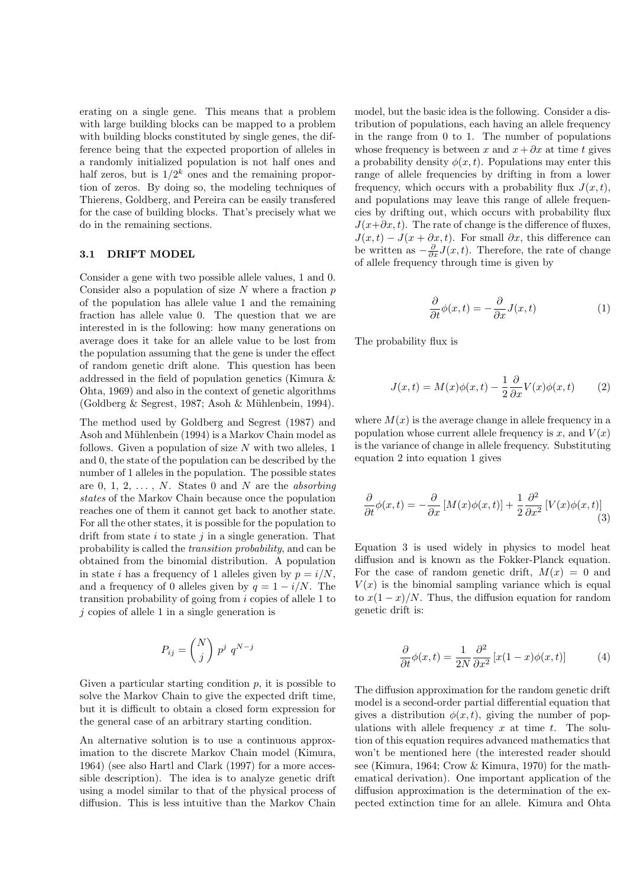erating on a single gene. This means that a problem with large building blocks can be mapped to a problem with building blocks constituted by single genes, the difference being that the expected proportion of alleles in a randomly initialized population is not half ones and half zeros, but is  $1/2^k$  ones and the remaining proportion of zeros. By doing so, the modeling techniques of Thierens, Goldberg, and Pereira can be easily transfered for the case of building blocks. That's precisely what we do in the remaining sections.

#### 3.1 DRIFT MODEL

Consider a gene with two possible allele values, 1 and 0. Consider also a population of size  $N$  where a fraction  $p$ of the population has allele value 1 and the remaining fraction has allele value 0. The question that we are interested in is the following: how many generations on average does it take for an allele value to be lost from the population assuming that the gene is under the effect of random genetic drift alone. This question has been addressed in the field of population genetics (Kimura & Ohta, 1969) and also in the context of genetic algorithms  $(Goldberg & Segrest, 1987; Asoh & Mühlenbein, 1994).$ 

The method used by Goldberg and Segrest (1987) and Asoh and Mühlenbein (1994) is a Markov Chain model as follows. Given a population of size  $N$  with two alleles, 1 and 0, the state of the population can be described by the number of 1 alleles in the population. The possible states are 0, 1, 2,  $\dots$ , N. States 0 and N are the *absorbing* states of the Markov Chain because once the population reaches one of them it cannot get back to another state. For all the other states, it is possible for the population to drift from state  $i$  to state  $j$  in a single generation. That probability is called the transition probability, and can be obtained from the binomial distribution. A population in state i has a frequency of 1 alleles given by  $p = i/N$ . and a frequency of 0 alleles given by  $q = 1 - i/N$ . The transition probability of going from i copies of allele 1 to  $j$  copies of allele 1 in a single generation is

$$
P_{ij} = \binom{N}{j} p^j q^{N-j}
$$

Given a particular starting condition  $p$ , it is possible to solve the Markov Chain to give the expected drift time, but it is difficult to obtain a closed form expression for the general case of an arbitrary starting condition.

An alternative solution is to use a continuous approximation to the discrete Markov Chain model (Kimura, 1964) (see also Hartl and Clark (1997) for a more accessible description). The idea is to analyze genetic drift using a model similar to that of the physical process of diffusion. This is less intuitive than the Markov Chain

model, but the basic idea is the following. Consider a distribution of populations, each having an allele frequency in the range from 0 to 1. The number of populations whose frequency is between x and  $x + \partial x$  at time t gives a probability density  $\phi(x, t)$ . Populations may enter this range of allele frequencies by drifting in from a lower frequency, which occurs with a probability flux  $J(x, t)$ , and populations may leave this range of allele frequencies by drifting out, which occurs with probability flux  $J(x+\partial x, t)$ . The rate of change is the difference of fluxes,  $J(x, t) - J(x + \partial x, t)$ . For small  $\partial x$ , this difference can be written as  $-\frac{\partial}{\partial x}J(x,t)$ . Therefore, the rate of change of allele frequency through time is given by

$$
\frac{\partial}{\partial t}\phi(x,t) = -\frac{\partial}{\partial x}J(x,t) \tag{1}
$$

The probability flux is

$$
J(x,t) = M(x)\phi(x,t) - \frac{1}{2}\frac{\partial}{\partial x}V(x)\phi(x,t) \tag{2}
$$

where  $M(x)$  is the average change in allele frequency in a population whose current allele frequency is x, and  $V(x)$ is the variance of change in allele frequency. Substituting equation 2 into equation 1 gives

$$
\frac{\partial}{\partial t}\phi(x,t) = -\frac{\partial}{\partial x}\left[M(x)\phi(x,t)\right] + \frac{1}{2}\frac{\partial^2}{\partial x^2}\left[V(x)\phi(x,t)\right] \tag{3}
$$

Equation 3 is used widely in physics to model heat diffusion and is known as the Fokker-Planck equation. For the case of random genetic drift,  $M(x) = 0$  and  $V(x)$  is the binomial sampling variance which is equal to  $x(1-x)/N$ . Thus, the diffusion equation for random genetic drift is:

$$
\frac{\partial}{\partial t}\phi(x,t) = \frac{1}{2N} \frac{\partial^2}{\partial x^2} \left[ x(1-x)\phi(x,t) \right] \tag{4}
$$

The diffusion approximation for the random genetic drift model is a second-order partial differential equation that gives a distribution  $\phi(x, t)$ , giving the number of populations with allele frequency  $x$  at time  $t$ . The solution of this equation requires advanced mathematics that won't be mentioned here (the interested reader should see (Kimura, 1964; Crow & Kimura, 1970) for the mathematical derivation). One important application of the diffusion approximation is the determination of the expected extinction time for an allele. Kimura and Ohta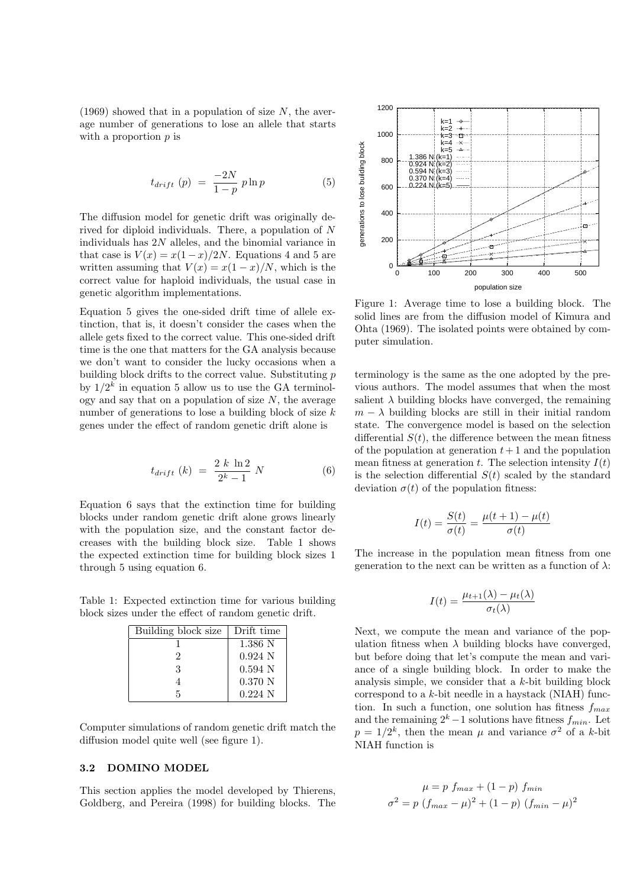$(1969)$  showed that in a population of size N, the average number of generations to lose an allele that starts with a proportion  $p$  is

$$
t_{drift} (p) = \frac{-2N}{1-p} p \ln p \tag{5}
$$

The diffusion model for genetic drift was originally derived for diploid individuals. There, a population of N individuals has 2N alleles, and the binomial variance in that case is  $V(x) = x(1-x)/2N$ . Equations 4 and 5 are written assuming that  $V(x) = x(1-x)/N$ , which is the correct value for haploid individuals, the usual case in genetic algorithm implementations.

Equation 5 gives the one-sided drift time of allele extinction, that is, it doesn't consider the cases when the allele gets fixed to the correct value. This one-sided drift time is the one that matters for the GA analysis because we don't want to consider the lucky occasions when a building block drifts to the correct value. Substituting  $p$ by  $1/2^k$  in equation 5 allow us to use the GA terminology and say that on a population of size  $N$ , the average number of generations to lose a building block of size  $k$ genes under the effect of random genetic drift alone is

$$
t_{drift} (k) = \frac{2 k \ln 2}{2^k - 1} N
$$
 (6)

Equation 6 says that the extinction time for building blocks under random genetic drift alone grows linearly with the population size, and the constant factor decreases with the building block size. Table 1 shows the expected extinction time for building block sizes 1 through 5 using equation 6.

Table 1: Expected extinction time for various building block sizes under the effect of random genetic drift.

| Building block size | Drift time       |
|---------------------|------------------|
|                     | 1.386 N          |
| 2                   | $0.924\text{ N}$ |
| 3                   | $0.594$ N        |
|                     | $0.370\ N$       |
|                     | $0.224\text{ N}$ |

Computer simulations of random genetic drift match the diffusion model quite well (see figure 1).

### 3.2 DOMINO MODEL

This section applies the model developed by Thierens, Goldberg, and Pereira (1998) for building blocks. The



Figure 1: Average time to lose a building block. The solid lines are from the diffusion model of Kimura and Ohta (1969). The isolated points were obtained by computer simulation.

terminology is the same as the one adopted by the previous authors. The model assumes that when the most salient  $\lambda$  building blocks have converged, the remaining  $m - \lambda$  building blocks are still in their initial random state. The convergence model is based on the selection differential  $S(t)$ , the difference between the mean fitness of the population at generation  $t + 1$  and the population mean fitness at generation  $t$ . The selection intensity  $I(t)$ is the selection differential  $S(t)$  scaled by the standard deviation  $\sigma(t)$  of the population fitness:

$$
I(t) = \frac{S(t)}{\sigma(t)} = \frac{\mu(t+1) - \mu(t)}{\sigma(t)}
$$

The increase in the population mean fitness from one generation to the next can be written as a function of  $\lambda$ :

$$
I(t) = \frac{\mu_{t+1}(\lambda) - \mu_t(\lambda)}{\sigma_t(\lambda)}
$$

Next, we compute the mean and variance of the population fitness when  $\lambda$  building blocks have converged, but before doing that let's compute the mean and variance of a single building block. In order to make the analysis simple, we consider that a k-bit building block correspond to a  $k$ -bit needle in a haystack (NIAH) function. In such a function, one solution has fitness  $f_{max}$ and the remaining  $2^k - 1$  solutions have fitness  $f_{min}$ . Let  $p = 1/2^k$ , then the mean  $\mu$  and variance  $\sigma^2$  of a k-bit NIAH function is

$$
\mu = p \ f_{max} + (1 - p) \ f_{min}
$$

$$
\sigma^2 = p \ (f_{max} - \mu)^2 + (1 - p) \ (f_{min} - \mu)^2
$$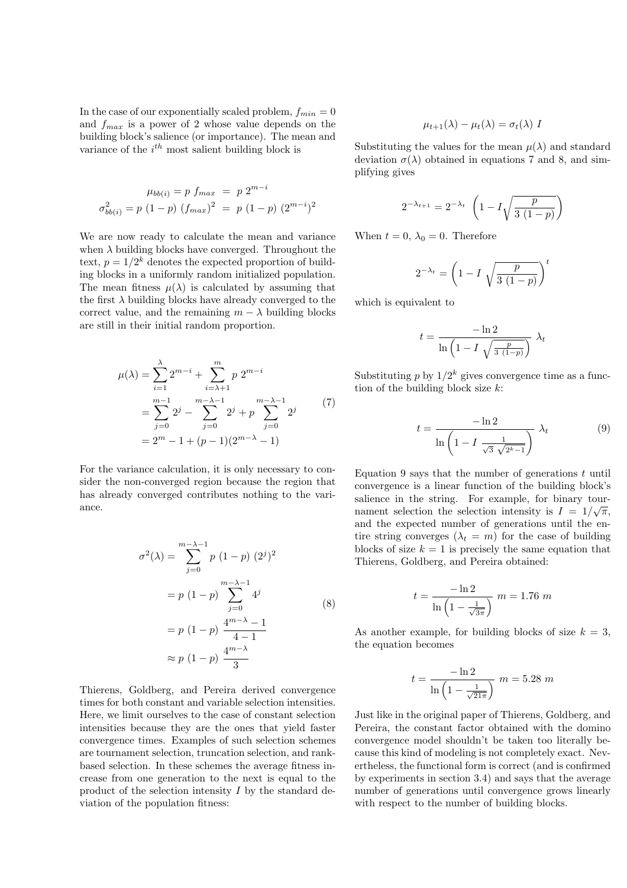In the case of our exponentially scaled problem,  $f_{min} = 0$ and  $f_{max}$  is a power of 2 whose value depends on the building block's salience (or importance). The mean and variance of the  $i^{th}$  most salient building block is

$$
\mu_{bb(i)} = p \ f_{max} = p \ 2^{m-i}
$$

$$
\sigma_{bb(i)}^2 = p \ (1-p) \ (f_{max})^2 = p \ (1-p) \ (2^{m-i})^2
$$

We are now ready to calculate the mean and variance when  $\lambda$  building blocks have converged. Throughout the text,  $p = 1/2^k$  denotes the expected proportion of building blocks in a uniformly random initialized population. The mean fitness  $\mu(\lambda)$  is calculated by assuming that the first  $\lambda$  building blocks have already converged to the correct value, and the remaining  $m - \lambda$  building blocks are still in their initial random proportion.

$$
\mu(\lambda) = \sum_{i=1}^{\lambda} 2^{m-i} + \sum_{i=\lambda+1}^{m} p 2^{m-i}
$$
  
= 
$$
\sum_{j=0}^{m-1} 2^j - \sum_{j=0}^{m-\lambda-1} 2^j + p \sum_{j=0}^{m-\lambda-1} 2^j
$$
 (7)  
= 
$$
2^m - 1 + (p-1)(2^{m-\lambda} - 1)
$$

For the variance calculation, it is only necessary to consider the non-converged region because the region that has already converged contributes nothing to the variance.

$$
\sigma^{2}(\lambda) = \sum_{j=0}^{m-\lambda-1} p (1-p) (2^{j})^{2}
$$

$$
= p (1-p) \sum_{j=0}^{m-\lambda-1} 4^{j}
$$

$$
= p (1-p) \frac{4^{m-\lambda}-1}{4-1}
$$

$$
\approx p (1-p) \frac{4^{m-\lambda}}{3}
$$
(8)

Thierens, Goldberg, and Pereira derived convergence times for both constant and variable selection intensities. Here, we limit ourselves to the case of constant selection intensities because they are the ones that yield faster convergence times. Examples of such selection schemes are tournament selection, truncation selection, and rankbased selection. In these schemes the average fitness increase from one generation to the next is equal to the product of the selection intensity  $I$  by the standard deviation of the population fitness:

$$
\mu_{t+1}(\lambda) - \mu_t(\lambda) = \sigma_t(\lambda) I
$$

Substituting the values for the mean  $\mu(\lambda)$  and standard deviation  $\sigma(\lambda)$  obtained in equations 7 and 8, and simplifying gives

$$
2^{-\lambda_{t+1}} = 2^{-\lambda_t} \left( 1 - I \sqrt{\frac{p}{3(1-p)}} \right)
$$

When  $t = 0$ ,  $\lambda_0 = 0$ . Therefore

$$
2^{-\lambda_t} = \left(1 - I\sqrt{\frac{p}{3(1-p)}}\right)^t
$$

which is equivalent to

$$
t = \frac{-\ln 2}{\ln\left(1 - I\sqrt{\frac{p}{3(1-p)}}\right)} \lambda_t
$$

Substituting  $p$  by  $1/2^k$  gives convergence time as a function of the building block size  $k$ :

$$
t = \frac{-\ln 2}{\ln\left(1 - I\frac{1}{\sqrt{3}\sqrt{2^k - 1}}\right)} \lambda_t \tag{9}
$$

Equation 9 says that the number of generations  $t$  until convergence is a linear function of the building block's salience in the string. For example, for binary tournament selection the selection intensity is  $I = 1/\sqrt{\pi}$ , and the expected number of generations until the entire string converges  $(\lambda_t = m)$  for the case of building blocks of size  $k = 1$  is precisely the same equation that Thierens, Goldberg, and Pereira obtained:

$$
t = \frac{-\ln 2}{\ln \left(1 - \frac{1}{\sqrt{3\pi}}\right)} \ m = 1.76 \ m
$$

As another example, for building blocks of size  $k = 3$ , the equation becomes

$$
t = \frac{-\ln 2}{\ln \left(1 - \frac{1}{\sqrt{21\pi}}\right)} \ m = 5.28 \ m
$$

Just like in the original paper of Thierens, Goldberg, and Pereira, the constant factor obtained with the domino convergence model shouldn't be taken too literally because this kind of modeling is not completely exact. Nevertheless, the functional form is correct (and is confirmed by experiments in section 3.4) and says that the average number of generations until convergence grows linearly with respect to the number of building blocks.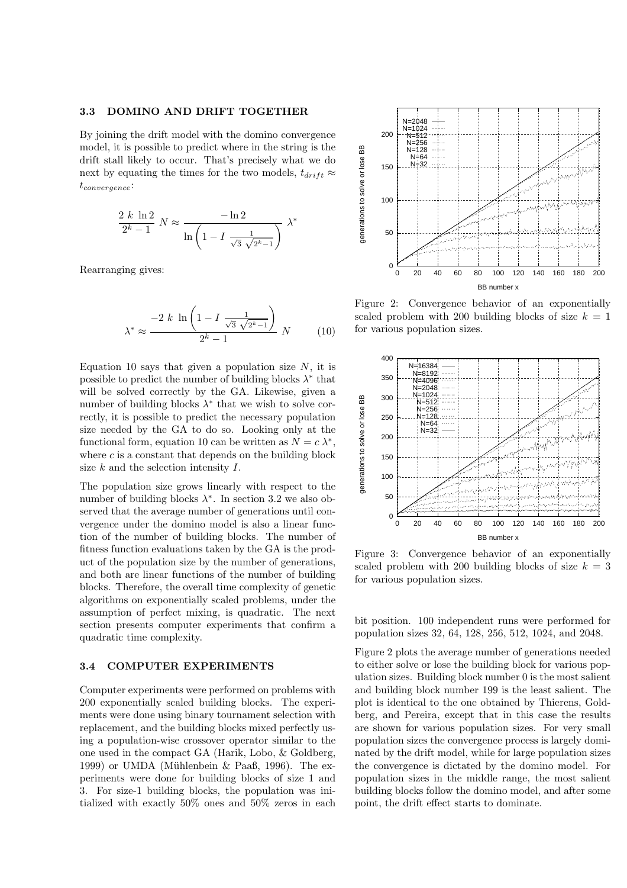#### 3.3 DOMINO AND DRIFT TOGETHER

By joining the drift model with the domino convergence model, it is possible to predict where in the string is the drift stall likely to occur. That's precisely what we do next by equating the times for the two models,  $t_{drift} \approx$  $t_{convergence}$ 

$$
\frac{2 k \ln 2}{2^k - 1} N \approx \frac{-\ln 2}{\ln \left(1 - I \frac{1}{\sqrt{3} \sqrt{2^k - 1}}\right)} \lambda^*
$$

Rearranging gives:

$$
\lambda^* \approx \frac{-2 k \ln \left( 1 - I \frac{1}{\sqrt{3} \sqrt{2^{k} - 1}} \right)}{2^k - 1} N
$$
 (10)

Equation 10 says that given a population size  $N$ , it is possible to predict the number of building blocks  $\lambda^*$  that will be solved correctly by the GA. Likewise, given a number of building blocks  $\lambda^*$  that we wish to solve correctly, it is possible to predict the necessary population size needed by the GA to do so. Looking only at the functional form, equation 10 can be written as  $N = c \lambda^*$ , where  $c$  is a constant that depends on the building block size  $k$  and the selection intensity  $I$ .

The population size grows linearly with respect to the number of building blocks  $\lambda^*$ . In section 3.2 we also observed that the average number of generations until convergence under the domino model is also a linear function of the number of building blocks. The number of fitness function evaluations taken by the GA is the product of the population size by the number of generations, and both are linear functions of the number of building blocks. Therefore, the overall time complexity of genetic algorithms on exponentially scaled problems, under the assumption of perfect mixing, is quadratic. The next section presents computer experiments that confirm a quadratic time complexity.

### 3.4 COMPUTER EXPERIMENTS

Computer experiments were performed on problems with 200 exponentially scaled building blocks. The experiments were done using binary tournament selection with replacement, and the building blocks mixed perfectly using a population-wise crossover operator similar to the one used in the compact GA (Harik, Lobo, & Goldberg, 1999) or UMDA (Mühlenbein  $\&$  Paaß, 1996). The experiments were done for building blocks of size 1 and 3. For size-1 building blocks, the population was initialized with exactly 50% ones and 50% zeros in each



Figure 2: Convergence behavior of an exponentially scaled problem with 200 building blocks of size  $k = 1$ for various population sizes.



Figure 3: Convergence behavior of an exponentially scaled problem with 200 building blocks of size  $k = 3$ for various population sizes.

bit position. 100 independent runs were performed for population sizes 32, 64, 128, 256, 512, 1024, and 2048.

Figure 2 plots the average number of generations needed to either solve or lose the building block for various population sizes. Building block number 0 is the most salient and building block number 199 is the least salient. The plot is identical to the one obtained by Thierens, Goldberg, and Pereira, except that in this case the results are shown for various population sizes. For very small population sizes the convergence process is largely dominated by the drift model, while for large population sizes the convergence is dictated by the domino model. For population sizes in the middle range, the most salient building blocks follow the domino model, and after some point, the drift effect starts to dominate.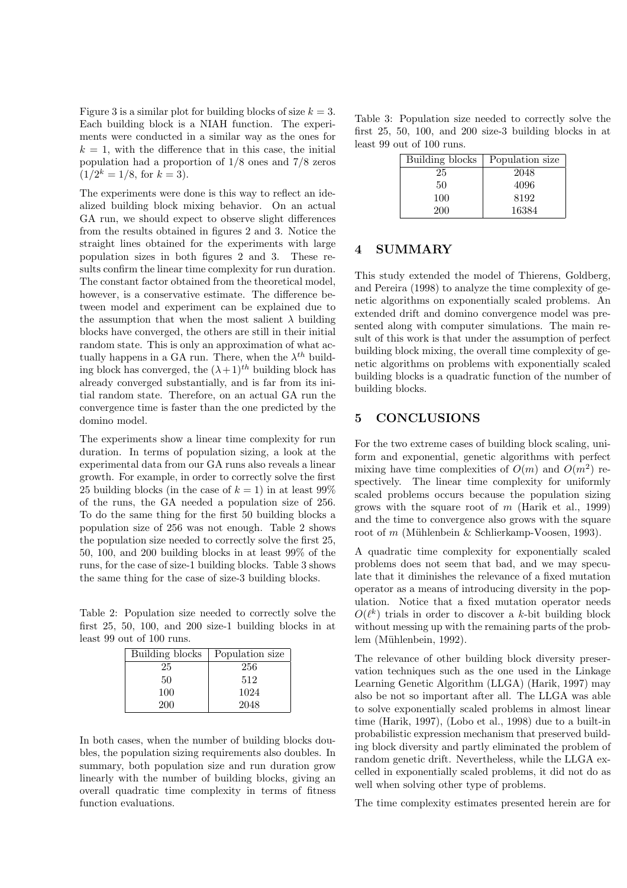Figure 3 is a similar plot for building blocks of size  $k = 3$ . Each building block is a NIAH function. The experiments were conducted in a similar way as the ones for  $k = 1$ , with the difference that in this case, the initial population had a proportion of 1/8 ones and 7/8 zeros  $(1/2^k = 1/8, \text{ for } k = 3).$ 

The experiments were done is this way to reflect an idealized building block mixing behavior. On an actual GA run, we should expect to observe slight differences from the results obtained in figures 2 and 3. Notice the straight lines obtained for the experiments with large population sizes in both figures 2 and 3. These results confirm the linear time complexity for run duration. The constant factor obtained from the theoretical model, however, is a conservative estimate. The difference between model and experiment can be explained due to the assumption that when the most salient  $\lambda$  building blocks have converged, the others are still in their initial random state. This is only an approximation of what actually happens in a GA run. There, when the  $\lambda^{th}$  building block has converged, the  $(\lambda + 1)^{th}$  building block has already converged substantially, and is far from its initial random state. Therefore, on an actual GA run the convergence time is faster than the one predicted by the domino model.

The experiments show a linear time complexity for run duration. In terms of population sizing, a look at the experimental data from our GA runs also reveals a linear growth. For example, in order to correctly solve the first 25 building blocks (in the case of  $k = 1$ ) in at least 99% of the runs, the GA needed a population size of 256. To do the same thing for the first 50 building blocks a population size of 256 was not enough. Table 2 shows the population size needed to correctly solve the first 25, 50, 100, and 200 building blocks in at least 99% of the runs, for the case of size-1 building blocks. Table 3 shows the same thing for the case of size-3 building blocks.

Table 2: Population size needed to correctly solve the first 25, 50, 100, and 200 size-1 building blocks in at least 99 out of 100 runs.

| Building blocks | Population size |
|-----------------|-----------------|
| 25              | 256             |
| 50              | 512             |
| 100             | 1024            |
| 200             | 2048            |

In both cases, when the number of building blocks doubles, the population sizing requirements also doubles. In summary, both population size and run duration grow linearly with the number of building blocks, giving an overall quadratic time complexity in terms of fitness function evaluations.

Table 3: Population size needed to correctly solve the first 25, 50, 100, and 200 size-3 building blocks in at least 99 out of 100 runs.

| Building blocks | Population size |
|-----------------|-----------------|
| 25              | 2048            |
| 50              | 4096            |
| 100             | 8192            |
| 200             | 16384           |

# 4 SUMMARY

This study extended the model of Thierens, Goldberg, and Pereira (1998) to analyze the time complexity of genetic algorithms on exponentially scaled problems. An extended drift and domino convergence model was presented along with computer simulations. The main result of this work is that under the assumption of perfect building block mixing, the overall time complexity of genetic algorithms on problems with exponentially scaled building blocks is a quadratic function of the number of building blocks.

## 5 CONCLUSIONS

For the two extreme cases of building block scaling, uniform and exponential, genetic algorithms with perfect mixing have time complexities of  $O(m)$  and  $O(m^2)$  respectively. The linear time complexity for uniformly scaled problems occurs because the population sizing grows with the square root of  $m$  (Harik et al., 1999) and the time to convergence also grows with the square root of  $m$  (Mühlenbein & Schlierkamp-Voosen, 1993).

A quadratic time complexity for exponentially scaled problems does not seem that bad, and we may speculate that it diminishes the relevance of a fixed mutation operator as a means of introducing diversity in the population. Notice that a fixed mutation operator needs  $O(\ell^k)$  trials in order to discover a k-bit building block without messing up with the remaining parts of the problem (Mühlenbein, 1992).

The relevance of other building block diversity preservation techniques such as the one used in the Linkage Learning Genetic Algorithm (LLGA) (Harik, 1997) may also be not so important after all. The LLGA was able to solve exponentially scaled problems in almost linear time (Harik, 1997), (Lobo et al., 1998) due to a built-in probabilistic expression mechanism that preserved building block diversity and partly eliminated the problem of random genetic drift. Nevertheless, while the LLGA excelled in exponentially scaled problems, it did not do as well when solving other type of problems.

The time complexity estimates presented herein are for